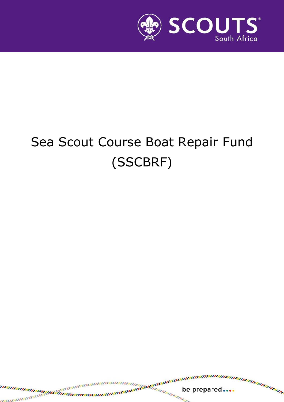

# Sea Scout Course Boat Repair Fund (SSCBRF)

be prepared....

s.